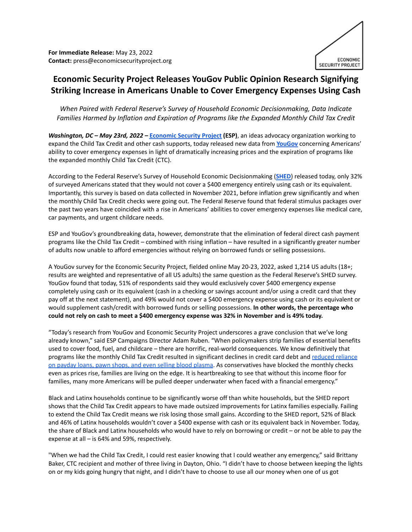**For Immediate Release:** May 23, 2022 **Contact:** press@economicsecurityproject.org



## **Economic Security Project Releases YouGov Public Opinion Research Signifying Striking Increase in Americans Unable to Cover Emergency Expenses Using Cash**

*When Paired with Federal Reserve's Survey of Household Economic Decisionmaking, Data Indicate Families Harmed by Inflation and Expiration of Programs like the Expanded Monthly Child Tax Credit*

*Washington, DC – May 23rd, 2022 –* **[Economic](https://www.economicsecurityproject.org/) Security Project (ESP)**, an ideas advocacy organization working to expand the Child Tax Credit and other cash supports, today released new data from **[YouGov](https://today.yougov.com/)** concerning Americans' ability to cover emergency expenses in light of dramatically increasing prices and the expiration of programs like the expanded monthly Child Tax Credit (CTC).

According to the Federal Reserve's Survey of Household Economic Decisionmaking (**[SHED](https://www.federalreserve.gov/consumerscommunities/sheddataviz/unexpectedexpenses.html)**) released today, only 32% of surveyed Americans stated that they would not cover a \$400 emergency entirely using cash or its equivalent. Importantly, this survey is based on data collected in November 2021, before inflation grew significantly and when the monthly Child Tax Credit checks were going out. The Federal Reserve found that federal stimulus packages over the past two years have coincided with a rise in Americans' abilities to cover emergency expenses like medical care, car payments, and urgent childcare needs.

ESP and YouGov's groundbreaking data, however, demonstrate that the elimination of federal direct cash payment programs like the Child Tax Credit – combined with rising inflation – have resulted in a significantly greater number of adults now unable to afford emergencies without relying on borrowed funds or selling possessions.

A YouGov survey for the Economic Security Project, fielded online May 20-23, 2022, asked 1,214 US adults (18+; results are weighted and representative of all US adults) the same question as the Federal Reserve's SHED survey. YouGov found that today, 51% of respondents said they would exclusively cover \$400 emergency expense completely using cash or its equivalent (cash in a checking or savings account and/or using a credit card that they pay off at the next statement), and 49% would not cover a \$400 emergency expense using cash or its equivalent or would supplement cash/credit with borrowed funds or selling possessions. **In other words, the percentage who** could not rely on cash to meet a \$400 emergency expense was 32% in November and is 49% today.

"Today's research from YouGov and Economic Security Project underscores a grave conclusion that we've long already known," said ESP Campaigns Director Adam Ruben. "When policymakers strip families of essential benefits used to cover food, fuel, and childcare – there are horrific, real-world consequences. We know definitively that programs like the monthly Child Tax Credit resulted in significant declines in credit card debt and [reduced](https://www.brookings.edu/research/the-impacts-of-the-2021-expanded-child-tax-credit-on-family-employment-nutrition-and-financial-well-being/) reliance on payday loans, pawn shops, and even selling blood [plasma.](https://www.brookings.edu/research/the-impacts-of-the-2021-expanded-child-tax-credit-on-family-employment-nutrition-and-financial-well-being/) As conservatives have blocked the monthly checks even as prices rise, families are living on the edge. It is heartbreaking to see that without this income floor for families, many more Americans will be pulled deeper underwater when faced with a financial emergency."

Black and Latinx households continue to be significantly worse off than white households, but the SHED report shows that the Child Tax Credit appears to have made outsized improvements for Latinx families especially. Failing to extend the Child Tax Credit means we risk losing those small gains. According to the SHED report, 52% of Black and 46% of Latinx households wouldn't cover a \$400 expense with cash or its equivalent back in November. Today, the share of Black and Latinx households who would have to rely on borrowing or credit – or not be able to pay the expense at all – is 64% and 59%, respectively.

"When we had the Child Tax Credit, I could rest easier knowing that I could weather any emergency," said Brittany Baker, CTC recipient and mother of three living in Dayton, Ohio. "I didn't have to choose between keeping the lights on or my kids going hungry that night, and I didn't have to choose to use all our money when one of us got